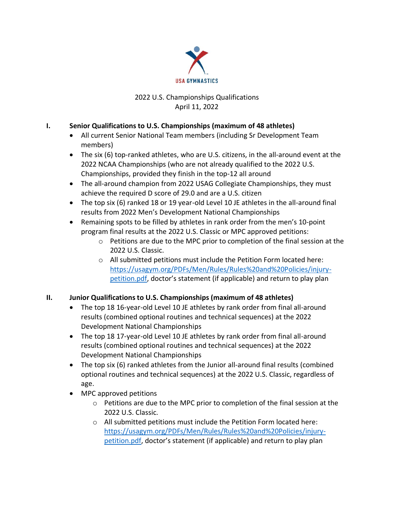

# 2022 U.S. Championships Qualifications April 11, 2022

# **I. Senior Qualifications to U.S. Championships (maximum of 48 athletes)**

- All current Senior National Team members (including Sr Development Team members)
- The six (6) top-ranked athletes, who are U.S. citizens, in the all-around event at the 2022 NCAA Championships (who are not already qualified to the 2022 U.S. Championships, provided they finish in the top-12 all around
- The all-around champion from 2022 USAG Collegiate Championships, they must achieve the required D score of 29.0 and are a U.S. citizen
- The top six (6) ranked 18 or 19 year-old Level 10 JE athletes in the all-around final results from 2022 Men's Development National Championships
- Remaining spots to be filled by athletes in rank order from the men's 10-point program final results at the 2022 U.S. Classic or MPC approved petitions:
	- o Petitions are due to the MPC prior to completion of the final session at the 2022 U.S. Classic.
	- $\circ$  All submitted petitions must include the Petition Form located here: [https://usagym.org/PDFs/Men/Rules/Rules%20and%20Policies/injury](https://usagym.org/PDFs/Men/Rules/Rules%20and%20Policies/injury-petition.pdf)[petition.pdf](https://usagym.org/PDFs/Men/Rules/Rules%20and%20Policies/injury-petition.pdf), doctor's statement (if applicable) and return to play plan

# **II. Junior Qualifications to U.S. Championships (maximum of 48 athletes)**

- The top 18 16-year-old Level 10 JE athletes by rank order from final all-around results (combined optional routines and technical sequences) at the 2022 Development National Championships
- The top 18 17-year-old Level 10 JE athletes by rank order from final all-around results (combined optional routines and technical sequences) at the 2022 Development National Championships
- The top six (6) ranked athletes from the Junior all-around final results (combined optional routines and technical sequences) at the 2022 U.S. Classic, regardless of age.
- MPC approved petitions
	- o Petitions are due to the MPC prior to completion of the final session at the 2022 U.S. Classic.
	- o All submitted petitions must include the Petition Form located here: [https://usagym.org/PDFs/Men/Rules/Rules%20and%20Policies/injury](https://usagym.org/PDFs/Men/Rules/Rules%20and%20Policies/injury-petition.pdf)[petition.pdf](https://usagym.org/PDFs/Men/Rules/Rules%20and%20Policies/injury-petition.pdf), doctor's statement (if applicable) and return to play plan